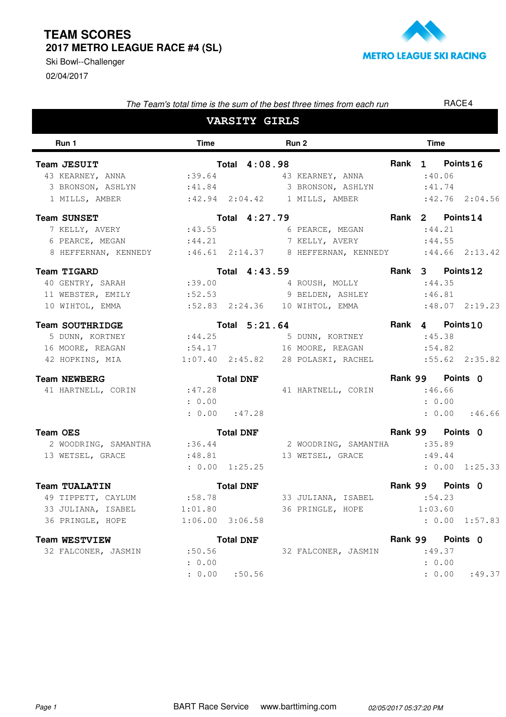## **TEAM SCORES 2017 METRO LEAGUE RACE #4 (SL)**

02/04/2017 Ski Bowl--Challenger



| The Team's total time is the sum of the best three times from each run            |             |                    |  |                                    | RACE4 |             |                   |  |
|-----------------------------------------------------------------------------------|-------------|--------------------|--|------------------------------------|-------|-------------|-------------------|--|
| <b>VARSITY GIRLS</b>                                                              |             |                    |  |                                    |       |             |                   |  |
| Run 1                                                                             | <b>Time</b> |                    |  | Run 2                              |       | <b>Time</b> |                   |  |
| Team JESUIT                                                                       |             | Total 4:08.98      |  |                                    |       |             | Rank 1 Points 16  |  |
| 43 KEARNEY, ANNA $:39.64$ 43 KEARNEY, ANNA                                        |             |                    |  |                                    |       | :40.06      |                   |  |
| 3 BRONSON, ASHLYN : 41.84 3 BRONSON, ASHLYN                                       |             |                    |  |                                    |       | :41.74      |                   |  |
| 1 MILLS, AMBER                                                                    |             |                    |  | $:42.94$ $:2:04.42$ 1 MILLS, AMBER |       |             | $:42.76$ 2:04.56  |  |
| <b>Team SUNSET</b>                                                                |             | Total 4:27.79      |  |                                    |       |             | Rank 2 Points 14  |  |
| 7 KELLY, AVERY : 43.55                                                            |             |                    |  | 6 PEARCE, MEGAN                    |       | : 44.21     |                   |  |
| 6 PEARCE, MEGAN                                                                   | : 44.21     |                    |  | 7 KELLY, AVERY                     |       | : 44.55     |                   |  |
| 8 HEFFERNAN, KENNEDY : 46.61 2:14.37 8 HEFFERNAN, KENNEDY : 44.66 2:13.42         |             |                    |  |                                    |       |             |                   |  |
| Team TIGARD                                                                       |             | Total 4:43.59      |  |                                    |       |             | Rank 3 Points 12  |  |
| 40 GENTRY, SARAH : 39.00 4 ROUSH, MOLLY                                           |             |                    |  |                                    |       | :44.35      |                   |  |
| 11 WEBSTER, EMILY :52.53 9 BELDEN, ASHLEY                                         |             |                    |  |                                    |       | :46.81      |                   |  |
| 10 WIHTOL, EMMA                                                                   |             |                    |  | :52.83  2:24.36  10  WIHTOL, EMMA  |       |             | $:48.07$ 2:19.23  |  |
| <b>Team SOUTHRIDGE</b>                                                            |             | Total 5:21.64      |  |                                    |       |             | Rank 4 Points 10  |  |
| 5 DUNN, KORTNEY                                                                   |             |                    |  | :44.25 5 DUNN, KORTNEY             |       | :45.38      |                   |  |
| 16 MOORE, REAGAN                                                                  | :54.17      |                    |  | 16 MOORE, REAGAN                   |       | :54.82      |                   |  |
| 42 HOPKINS, MIA    1:07.40    2:45.82    28 POLASKI, RACHEL    1:55.62    2:35.82 |             |                    |  |                                    |       |             |                   |  |
| <b>Team NEWBERG</b>                                                               |             | <b>Total DNF</b>   |  |                                    |       |             | Rank 99 Points 0  |  |
| 41 HARTNELL, CORIN                                                                | :47.28      |                    |  | 41 HARTNELL, CORIN                 |       | :46.66      |                   |  |
|                                                                                   | : 0.00      |                    |  |                                    |       |             | : 0.00            |  |
|                                                                                   |             | $: 0.00$ $: 47.28$ |  |                                    |       |             | : 0.00 : 46.66    |  |
| Team OES                                                                          |             | <b>Total DNF</b>   |  |                                    |       |             | Rank 99 Points 0  |  |
| 2 WOODRING, SAMANTHA:36.44                                                        |             |                    |  | 2 WOODRING, SAMANTHA :35.89        |       |             |                   |  |
| 13 WETSEL, GRACE                                                                  | : 48.81     |                    |  | 13 WETSEL, GRACE                   |       |             | :49.44            |  |
|                                                                                   |             | : 0.00 1:25.25     |  |                                    |       |             | : 0.00<br>1:25.33 |  |
| Team TUALATIN                                                                     |             | <b>Total DNF</b>   |  |                                    |       |             | Rank 99 Points 0  |  |
| 49 TIPPETT, CAYLUM                                                                | :58.78      |                    |  | 33 JULIANA, ISABEL                 |       |             | :54.23            |  |
| 33 JULIANA, ISABEL                                                                | 1:01.80     |                    |  | 36 PRINGLE, HOPE                   |       | 1:03.60     |                   |  |
| 36 PRINGLE, HOPE                                                                  |             | $1:06.00$ 3:06.58  |  |                                    |       |             | : 0.00 1:57.83    |  |
| <b>Team WESTVIEW</b>                                                              |             | <b>Total DNF</b>   |  |                                    |       | Rank 99     | Points 0          |  |
| 32 FALCONER, JASMIN                                                               | :50.56      |                    |  | 32 FALCONER, JASMIN                |       |             | :49.37            |  |
|                                                                                   | : 0.00      |                    |  |                                    |       |             | : 0.00            |  |

 $: 0.00 : 50.56$ 

Page 1 BART Race Service www.barttiming.com 02/05/2017 05:37:20 PM

: 50.56 : 0.00 : 49.37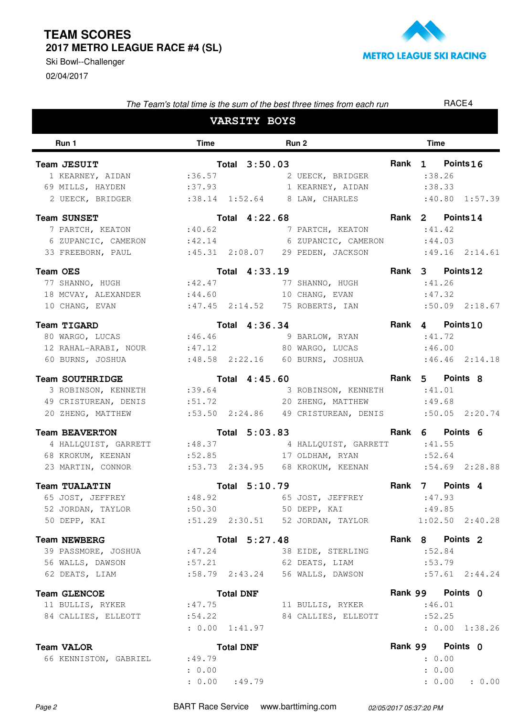## **TEAM SCORES 2017 METRO LEAGUE RACE #4 (SL)**

02/04/2017 Ski Bowl--Challenger



| The Team's total time is the sum of the best three times from each run                                                                                |                                      |               |                                                                           |             | RACE4                                  |                    |  |  |
|-------------------------------------------------------------------------------------------------------------------------------------------------------|--------------------------------------|---------------|---------------------------------------------------------------------------|-------------|----------------------------------------|--------------------|--|--|
| <b>VARSITY BOYS</b>                                                                                                                                   |                                      |               |                                                                           |             |                                        |                    |  |  |
| Run 1                                                                                                                                                 | Time                                 |               | Run 2                                                                     |             | <b>Time</b>                            |                    |  |  |
| Team JESUIT<br>1 KEARNEY, AIDAN :36.57<br>69 MILLS, HAYDEN :37.93 1 KEARNEY, AIDAN                                                                    |                                      | Total 3:50.03 | 2 UEECK, BRIDGER                                                          |             | Rank 1 Points 16<br>: 38.26<br>: 38.33 | $:40.80$ 1:57.39   |  |  |
| <b>Team SUNSET</b><br>7 PARTCH, KEATON : 40.62<br>6 ZUPANCIC, CAMERON : 42.14<br>33 FREEBORN, PAUL : 45.31 2:08.07 29 PEDEN, JACKSON                  |                                      | Total 4:22.68 | 7 PARTCH, KEATON<br>6 ZUPANCIC, CAMERON                                   |             | Rank 2 Points 14<br>:41.42<br>:44.03   | $:49.16$ $2:14.61$ |  |  |
| <b>Team OES</b><br>77 SHANNO, HUGH<br>18 MCVAY, ALEXANDER :44.60<br>10 CHANG, EVAN                                                                    | : 42.47                              | Total 4:33.19 | 77 SHANNO, HUGH<br>10 CHANG, EVAN<br>$:47.45$ $2:14.52$ 75 ROBERTS, IAN   |             | Rank 3 Points 12<br>:41.26<br>:47.32   | $:50.09$ 2:18.67   |  |  |
| <b>Team TIGARD</b><br>80 WARGO, LUCAS :46.46<br>12 RAHAL-ARABI, NOUR : 47.12 80 WARGO, LUCAS                                                          |                                      | Total 4:36.34 | 9 BARLOW, RYAN                                                            |             | Rank 4 Points10<br>:41.72<br>:46.00    | $:46.46$ $2:14.18$ |  |  |
| <b>Team SOUTHRIDGE</b><br>3 ROBINSON, KENNETH : 39.64<br>49 CRISTUREAN, DENIS :51.72<br>20 ZHENG, MATTHEW :53.50 2:24.86 49 CRISTUREAN, DENIS         |                                      | Total 4:45.60 | 3 ROBINSON, KENNETH<br>20 ZHENG, MATTHEW                                  |             | Rank 5 Points 8<br>:41.01<br>:49.68    | $:50.05$ 2:20.74   |  |  |
| <b>Team BEAVERTON</b><br>4 HALLQUIST, GARRETT : 48.37 4 HALLQUIST, GARRETT<br>68 KROKUM, KEENAN<br>23 MARTIN, CONNOR :53.73 2:34.95 68 KROKUM, KEENAN |                                      |               | Total 5:03.83<br>:52.85 17 OLDHAM, RYAN                                   | <b>Rank</b> | 6 Points 6<br>:41.55<br>:52.64         | $:54.69$ $2:28.88$ |  |  |
| <b>Team TUALATIN</b><br>65 JOST, JEFFREY :48.92<br>50 DEPP, KAI                                                                                       |                                      | Total 5:10.79 | 65 JOST, JEFFREY<br>:51.29  2:30.51  52  JORDAN, TAYLOR  1:02.50  2:40.28 |             | Rank 7 Points 4<br>:47.93<br>:49.85    |                    |  |  |
| <b>Team NEWBERG</b><br>39 PASSMORE, JOSHUA :47.24<br>56 WALLS, DAWSON<br>62 DEATS, LIAM                                                               | :57.21                               | Total 5:27.48 | 38 EIDE, STERLING<br>62 DEATS, LIAM                                       |             | Rank 8 Points 2<br>:52.84<br>: 53.79   | $:57.61$ $2:44.24$ |  |  |
| <b>Team GLENCOE</b><br>11 BULLIS, RYKER :47.75<br>84 CALLIES, ELLEOTT :54.22                                                                          | <b>Total DNF</b><br>: 0.00 1:41.97   |               | 11 BULLIS, RYKER<br>84 CALLIES, ELLEOTT                                   |             | Rank 99 Points 0<br>:46.01<br>:52.25   | : 0.00 1:38.26     |  |  |
| <b>Team VALOR</b><br>66 KENNISTON, GABRIEL                                                                                                            | <b>Total DNF</b><br>:49.79<br>: 0.00 |               |                                                                           |             | Rank 99 Points 0<br>: 0.00<br>: 0.00   |                    |  |  |

Page 2 BART Race Service www.barttiming.com 02/05/2017 05:37:20 PM

: 0.00 :49.79

: 49.79 : 0.00 : 0.00